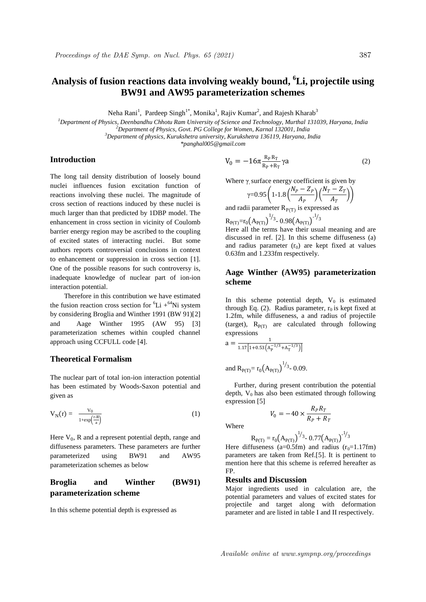# **Analysis of fusion reactions data involving weakly bound, <sup>6</sup>Li, projectile using BW91 and AW95 parameterization schemes**

Neha Rani<sup>1</sup>, Pardeep Singh<sup>1\*</sup>, Monika<sup>1</sup>, Rajiv Kumar<sup>2</sup>, and Rajesh Kharab<sup>3</sup>

*<sup>1</sup>Department of Physics, Deenbandhu Chhotu Ram University of Science and Technology, Murthal 131039, Haryana, India <sup>2</sup>Department of Physics, Govt. PG College for Women, Karnal 132001, India*

*<sup>3</sup>Department of physics, Kurukshetra university, Kurukshetra 136119, Haryana, India* 

*\*panghal005@gmail.com*

## **Introduction**

The long tail density distribution of loosely bound nuclei influences fusion excitation function of reactions involving these nuclei. The magnitude of cross section of reactions induced by these nuclei is much larger than that predicted by 1DBP model. The enhancement in cross section in vicinity of Coulomb barrier energy region may be ascribed to the coupling of excited states of interacting nuclei. But some authors reports controversial conclusions in context to enhancement or suppression in cross section [1]. One of the possible reasons for such controversy is, inadequate knowledge of nuclear part of ion-ion interaction potential.

 Therefore in this contribution we have estimated the fusion reaction cross section for  ${}^{6}Li + {}^{64}Ni$  system by considering Broglia and Winther 1991 (BW 91)[2] and Aage Winther 1995 (AW 95) [3] parameterization schemes within coupled channel approach using CCFULL code [4].

### **Theoretical Formalism**

The nuclear part of total ion-ion interaction potential has been estimated by Woods-Saxon potential and given as

$$
V_N(r) = \frac{V_0}{1 + \exp\left(\frac{r - R}{a}\right)}\tag{1}
$$

Here  $V_0$ , R and a represent potential depth, range and diffuseness parameters. These parameters are further parameterized using BW91 and AW95 parameterization schemes as below

## **Broglia and Winther (BW91) parameterization scheme**

In this scheme potential depth is expressed as

$$
V_0 = -16\pi \frac{R_P R_T}{R_P + R_T} \gamma a \tag{2}
$$

Where  $\gamma$  surface energy coefficient is given by

$$
\gamma = 0.95 \left( 1 - 1.8 \left( \frac{N_P - Z_P}{A_P} \right) \left( \frac{N_T - Z_T}{A_T} \right) \right)
$$

and radii parameter  $R_{P(T)}$  is expressed as

$$
R_{P(T)}=r_0(A_{P(T)})^{1/3}
$$
 0.98 $(A_{P(T)})^{1/3}$   
Here all the terms have their usual

Here all the terms have their usual meaning and are discussed in ref. [2]. In this scheme diffuseness (a) and radius parameter  $(r_0)$  are kept fixed at values 0.63fm and 1.233fm respectively.

## **Aage Winther (AW95) parameterization scheme**

In this scheme potential depth,  $V_0$  is estimated through Eq. (2). Radius parameter,  $r_0$  is kept fixed at 1.2fm, while diffuseness, a and radius of projectile (target),  $R_{P(T)}$  are calculated through following expressions

$$
a = \frac{1}{1.17[1 + 0.53(A_P^{-1/3} + A_T^{-1/3})]}
$$

and  $R_{P(T)} = r_0 (A_{P(T)})^{1/3}$  - 0.09.

 Further, during present contribution the potential depth,  $V_0$  has also been estimated through following expression [5]

$$
V_0 = -40 \times \frac{R_p R_T}{R_p + R_T}
$$

Where

$$
R_{P(T)} = r_0 \left(A_{P(T)}\right)^{1/3} \text{-} 0.77 \left(A_{P(T)}\right)^{-1/3}
$$

Here diffuseness (a=0.5fm) and radius  $(r_0=1.17$ fm) parameters are taken from Ref.[5]. It is pertinent to mention here that this scheme is referred hereafter as FP.

#### **Results and Discussion**

Major ingredients used in calculation are, the potential parameters and values of excited states for projectile and target along with deformation parameter and are listed in table I and II respectively.